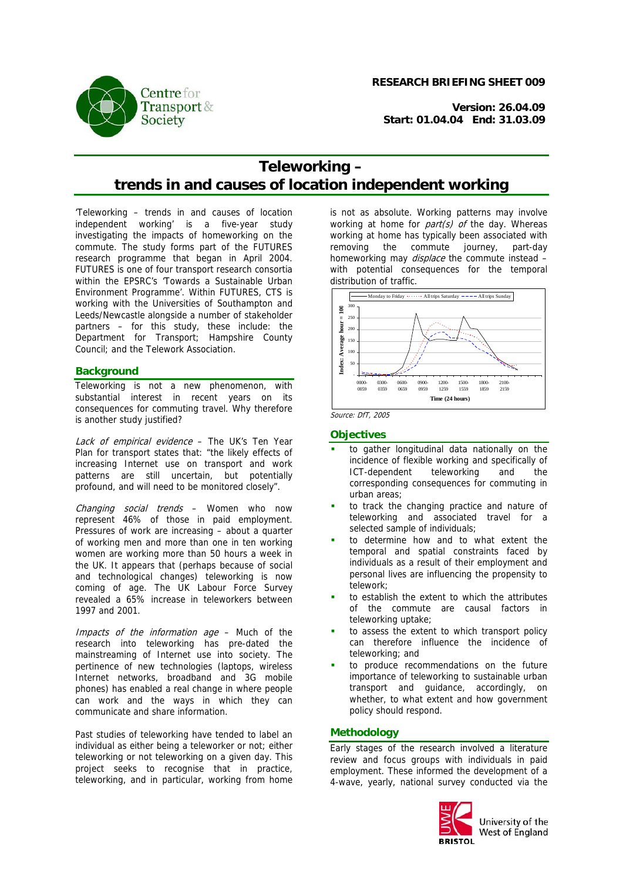**Centre** for **Transport &** Society

**RESEARCH BRIEFING SHEET 009**

**Version: 26.04.09 Start: 01.04.04 End: 31.03.09**

# **Teleworking – trends in and causes of location independent working**

'Teleworking – trends in and causes of location independent working' is a five-year study investigating the impacts of homeworking on the commute. The study forms part of the FUTURES research programme that began in April 2004. FUTURES is one of four transport research consortia within the EPSRC's 'Towards a Sustainable Urban Environment Programme'. Within FUTURES, CTS is working with the Universities of Southampton and Leeds/Newcastle alongside a number of stakeholder partners – for this study, these include: the Department for Transport; Hampshire County Council; and the Telework Association.

#### **Background**

Teleworking is not a new phenomenon, with substantial interest in recent years on its consequences for commuting travel. Why therefore is another study justified?

Lack of empirical evidence - The UK's Ten Year Plan for transport states that: "the likely effects of increasing Internet use on transport and work patterns are still uncertain, but potentially profound, and will need to be monitored closely".

Changing social trends – Women who now represent 46% of those in paid employment. Pressures of work are increasing – about a quarter of working men and more than one in ten working women are working more than 50 hours a week in the UK. It appears that (perhaps because of social and technological changes) teleworking is now coming of age. The UK Labour Force Survey revealed a 65% increase in teleworkers between 1997 and 2001.

Impacts of the information age – Much of the research into teleworking has pre-dated the mainstreaming of Internet use into society. The pertinence of new technologies (laptops, wireless Internet networks, broadband and 3G mobile phones) has enabled a real change in where people can work and the ways in which they can communicate and share information.

Past studies of teleworking have tended to label an individual as either being a teleworker or not; either teleworking or not teleworking on a given day. This project seeks to recognise that in practice, teleworking, and in particular, working from home is not as absolute. Working patterns may involve working at home for *part(s)* of the day. Whereas working at home has typically been associated with removing the commute journey, part-day homeworking may *displace* the commute instead – with potential consequences for the temporal distribution of traffic.



Source: DfT, 2005

#### **Objectives**

- to gather longitudinal data nationally on the incidence of flexible working and specifically of ICT-dependent teleworking and the corresponding consequences for commuting in urban areas;
- to track the changing practice and nature of teleworking and associated travel for a selected sample of individuals;
- to determine how and to what extent the temporal and spatial constraints faced by individuals as a result of their employment and personal lives are influencing the propensity to telework;
- to establish the extent to which the attributes of the commute are causal factors in teleworking uptake;
- to assess the extent to which transport policy can therefore influence the incidence of teleworking; and
- to produce recommendations on the future importance of teleworking to sustainable urban transport and guidance, accordingly, on whether, to what extent and how government policy should respond.

## **Methodology**

Early stages of the research involved a literature review and focus groups with individuals in paid employment. These informed the development of a 4-wave, yearly, national survey conducted via the